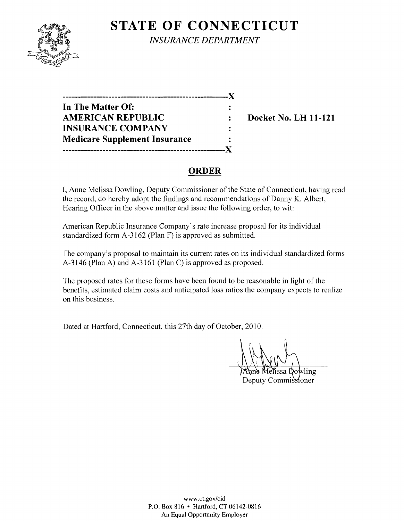# **STATE OF CONNECTICUT**



*INSURANCE DEPARTMENT* 

| -------------------------------      |   |
|--------------------------------------|---|
| In The Matter Of:                    |   |
| <b>AMERICAN REPUBLIC</b>             | ÷ |
| <b>INSURANCE COMPANY</b>             |   |
| <b>Medicare Supplement Insurance</b> |   |
|                                      |   |

**Docket No. LH 11-121** 

## **ORDER**

I, Anne Melissa Dowling, Deputy Commissioner of the State of Connecticut, having read the record, do hereby adopt the findings and recommendations of Danny K. Albert, Hearing Officer in the above matter and issue the following order, to wit:

American Republic Insurance Company's rate increase proposal for its individual standardized form A-3l62 (Plan F) is approved as submitted.

The company's proposal to maintain its current rates on its individual standardized forms A-3l46 (Plan A) and A-3161 (Plan C) is approved as proposed.

The proposed rates for these forms have been found to be reasonable in light of the benefits, estimated claim costs and anticipated loss ratios the company expects to realize on this business.

Dated at Hartford, Connecticut, this 27th day of October, 2010.

lissa Dowling

Deputy Commissioner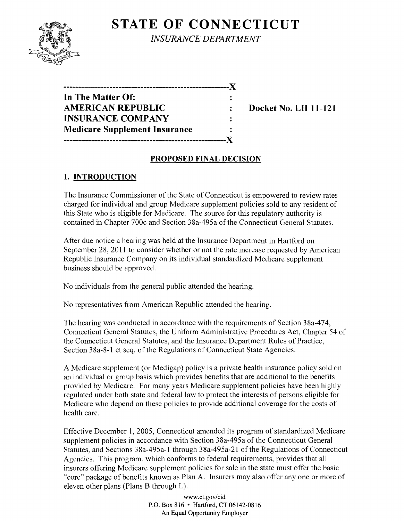# **STATE OF CONNECTICUT**



*INSURANCE DEPARTMENT* 

| -------------------------            |  |
|--------------------------------------|--|
| In The Matter Of:                    |  |
| <b>AMERICAN REPUBLIC</b>             |  |
| <b>INSURANCE COMPANY</b>             |  |
| <b>Medicare Supplement Insurance</b> |  |
|                                      |  |

**Docket No. LH 11-121** 

### **PROPOSED FINAL DECISION**

## **1. INTRODUCTION**

The Insurance Commissioner of the State of Connecticut is empowered to review rates charged for individual and group Medicare supplement policies sold to any resident of this State who is eligible for Medicare. The source for this regulatory authority is contained in Chapter 700c and Section 38a-495a of the Connecticut General Statutes.

After due notice a hearing was held at the Insurance Department in Hartford on September 28, 2011 to consider whether or not the rate increase requested by American Republic Insurance Company on its individual standardized Medicare supplement business should be approved.

No individuals from the general public attended the hearing.

No representatives from American Republic attended the hearing.

The hearing was conducted in accordance with the requirements of Section 38a-474, Connecticut General Statutes, the Uniform Administrative Procedures Act, Chapter 54 of the Connecticut General Statutes, and the Insurance Department Rules of Practice, Section 38a-8-1 et seq. of the Regulations of Connecticut State Agencies.

A Medicare supplement (or Medigap) policy is a private health insurance policy sold on an individual or group basis which provides benefits that are additional to the benefits provided by Medicare. For many years Medicare supplement policies have been highly regulated under both state and federal law to protect the interests of persons eligible for Medicare who depend on these policies to provide additional coverage for the costs of health care.

Effective December 1, 2005, Connecticut amended its program of standardized Medicare supplement policies in accordance with Section 38a-495a of the Connecticut General Statutes, and Sections 38a-495a-l through 38a-495a-21 of the Regulations of Connecticut Agencies. This program, which conforms to federal requirements, provides that all insurers offering Medicare supplement policies for sale in the state must offer the basic "core" package of benefits known as Plan A. Insurers may also offer anyone or more of eleven other plans (Plans B through L).

> www.ct.gov/cid P.O. Box 816 • Hartford, CT 06142-0816 An Equal Opportunity Employer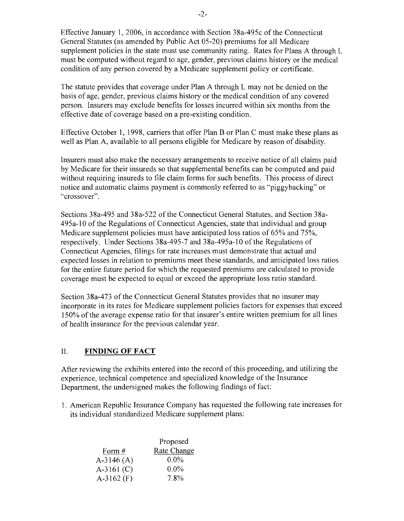Effective January 1,2006, in accordance with Section 38a-495c of the Connecticut General Statutes (as amended by Public Act 05-20) premiums for all Medicare supplement policies in the state must use community rating. Rates for Plans A through L must be computed without regard to age, gender, previous claims history or the medical condition of any person covered by a Medicare supplement policy or certificate.

The statute provides that coverage under Plan A through L may not be denied on the basis of age, gender, previous claims history or the medical condition of any covered person. Insurers may exclude benefits for losses incurred within six months from the effective date of coverage based on a pre-existing condition.

Effective October 1, 1998, carriers that offer Plan B or Plan C must make these plans as well as Plan A, available to all persons eligible for Medicare by reason of disability.

Insurers must also make the necessary arrangements to receive notice of all claims paid by Medicare for their insureds so that supplemental benefits can be computed and paid without requiring insureds to file claim forms for such benefits. This process of direct notice and automatic claims payment is commonly referred to as "piggybacking" or "crossover".

Sections 38a-495 and 38a-522 of the Connecticut General Statutes, and Section 38a-495a-l0 ofthe Regulations of Connecticut Agencies, state that individual and group Medicare supplement policies must have anticipated loss ratios of 65% and 75%, respectively. Under Sections 38a-495-7 and 38a-495a-l0 of the Regulations of Connecticut Agencies, filings for rate increases must demonstrate that actual and expected losses in relation to premiums meet these standards, and anticipated loss ratios for the entire future period for which the requested premiums are calculated to provide coverage must be expected to equal or exceed the appropriate loss ratio standard.

Section 38a-473 of the Connecticut General Statutes provides that no insurer may incorporate in its rates for Medicare supplement policies factors for expenses that exceed 150% of the average expense ratio for that insurer's entire written premium for all lines of health insurance for the previous calendar year.

### II. **FINDING OF FACT**

After reviewing the exhibits entered into the record of this proceeding, and utilizing the experience, technical competence and specialized knowledge of the Insurance Department, the undersigned makes the following findings of fact:

1. American Republic Insurance Company has requested the following rate increases for its individual standardized Medicare supplement plans:

|              | Proposed    |
|--------------|-------------|
| Form #       | Rate Change |
| $A-3146(A)$  | $0.0\%$     |
| $A-3161 (C)$ | $0.0\%$     |
| A-3162 $(F)$ | $7.8\%$     |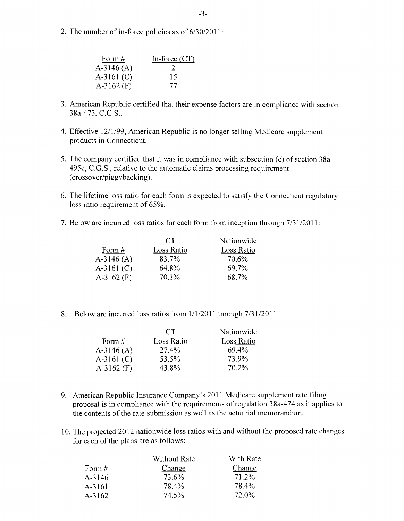2. The number of in-force policies as of 6/30/20 **11 :** 

| Form $#$     | In-force $(CT)$ |
|--------------|-----------------|
| $A-3146(A)$  | $\mathcal{L}$   |
| $A-3161$ (C) | 15              |
| $A-3162$ (F) | 77              |

- 3. American Republic certified that their expense factors are in compliance with section 38a-473, C.G.S..
- 4. Effective 12/1/99, American Republic is no longer selling Medicare supplement products in Connecticut.
- 5. The company certified that it was in compliance with subsection (e) of section 38a-495c, C.G.S., relative to the automatic claims processing requirement (crossover/piggybacking).
- 6. The lifetime loss ratio for each form is expected to satisfy the Connecticut regulatory loss ratio requirement of 65%.
- 7. Below are incurred loss ratios for each form from inception through  $7/31/2011$ :

|              | CT.        | Nationwide |
|--------------|------------|------------|
| Form #       | Loss Ratio | Loss Ratio |
| $A-3146(A)$  | 83.7%      | 70.6%      |
| $A-3161$ (C) | 64.8%      | 69.7%      |
| $A-3162$ (F) | 70.3%      | 68.7%      |

8. Below are incurred loss ratios from  $1/1/2011$  through  $7/31/2011$ :

| CT.        | Nationwide |
|------------|------------|
| Loss Ratio | Loss Ratio |
| 27.4%      | 69.4%      |
| 53.5%      | 73.9%      |
| 43.8%      | 70.2%      |
|            |            |

- 9. American Republic Insurance Company's 2011 Medicare supplement rate filing proposal is in compliance with the requirements of regulation 38a-474 as it applies to the contents of the rate submission as well as the actuarial memorandum.
- 10. The projected 2012 nationwide loss ratios with and without the proposed rate changes for each of the plans are as follows:

| <b>Without Rate</b> | With Rate |
|---------------------|-----------|
| Change              | Change    |
| 73.6%               | 71.2%     |
| 78.4%               | 78.4%     |
| 74.5%               | 72.0%     |
|                     |           |